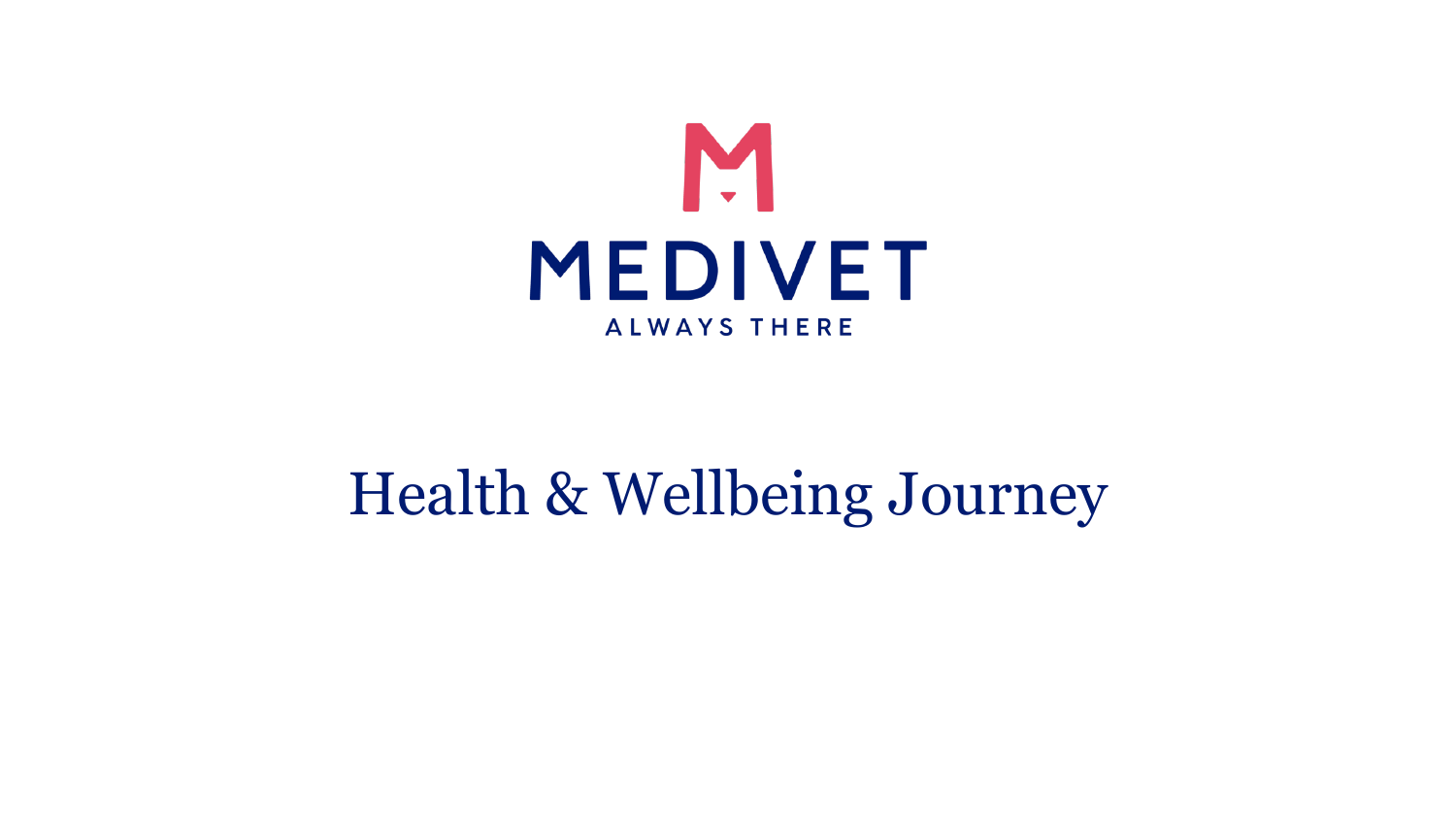

# Health & Wellbeing Journey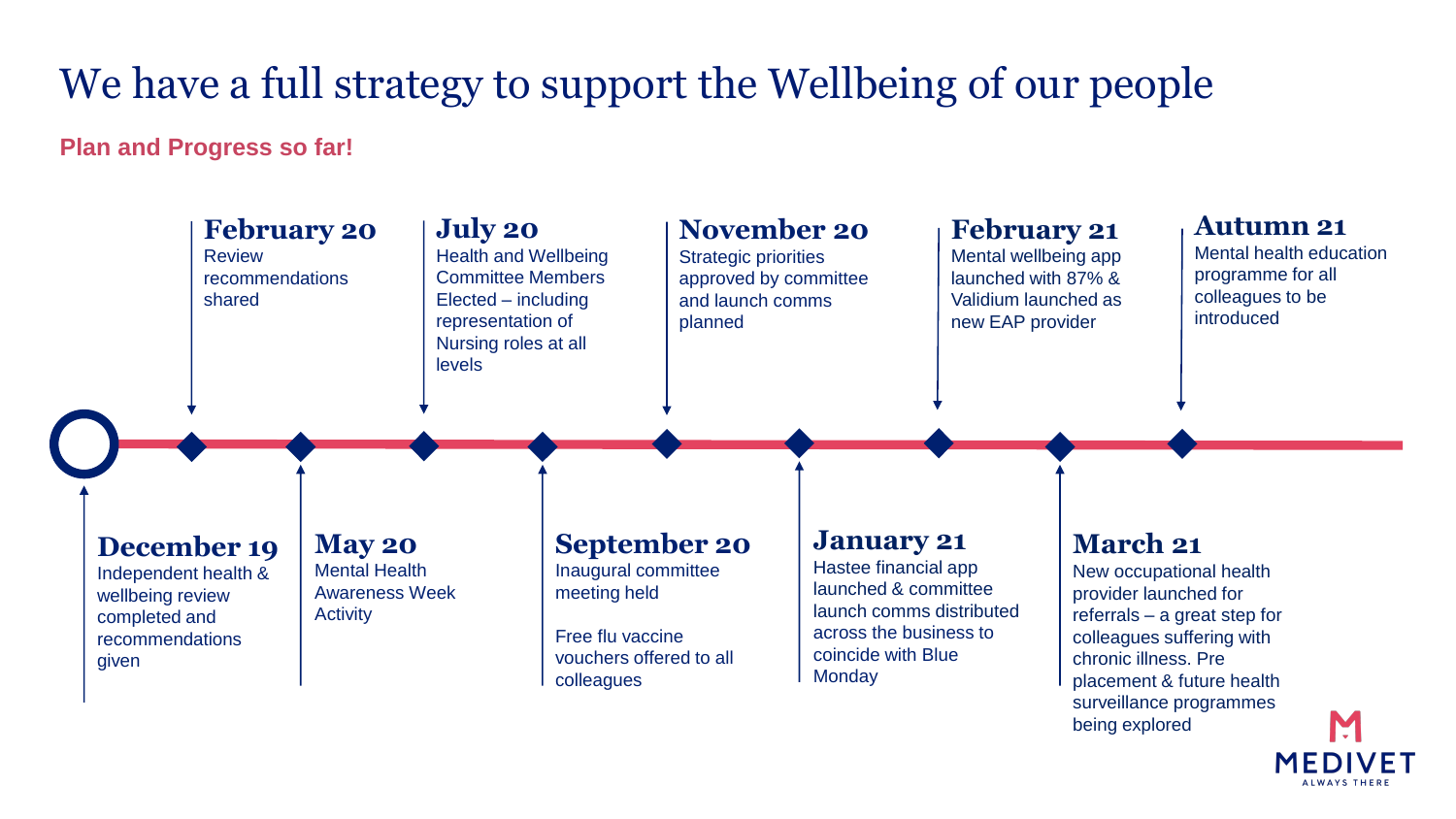## We have a full strategy to support the Wellbeing of our people

### **Plan and Progress so far!**



being explored

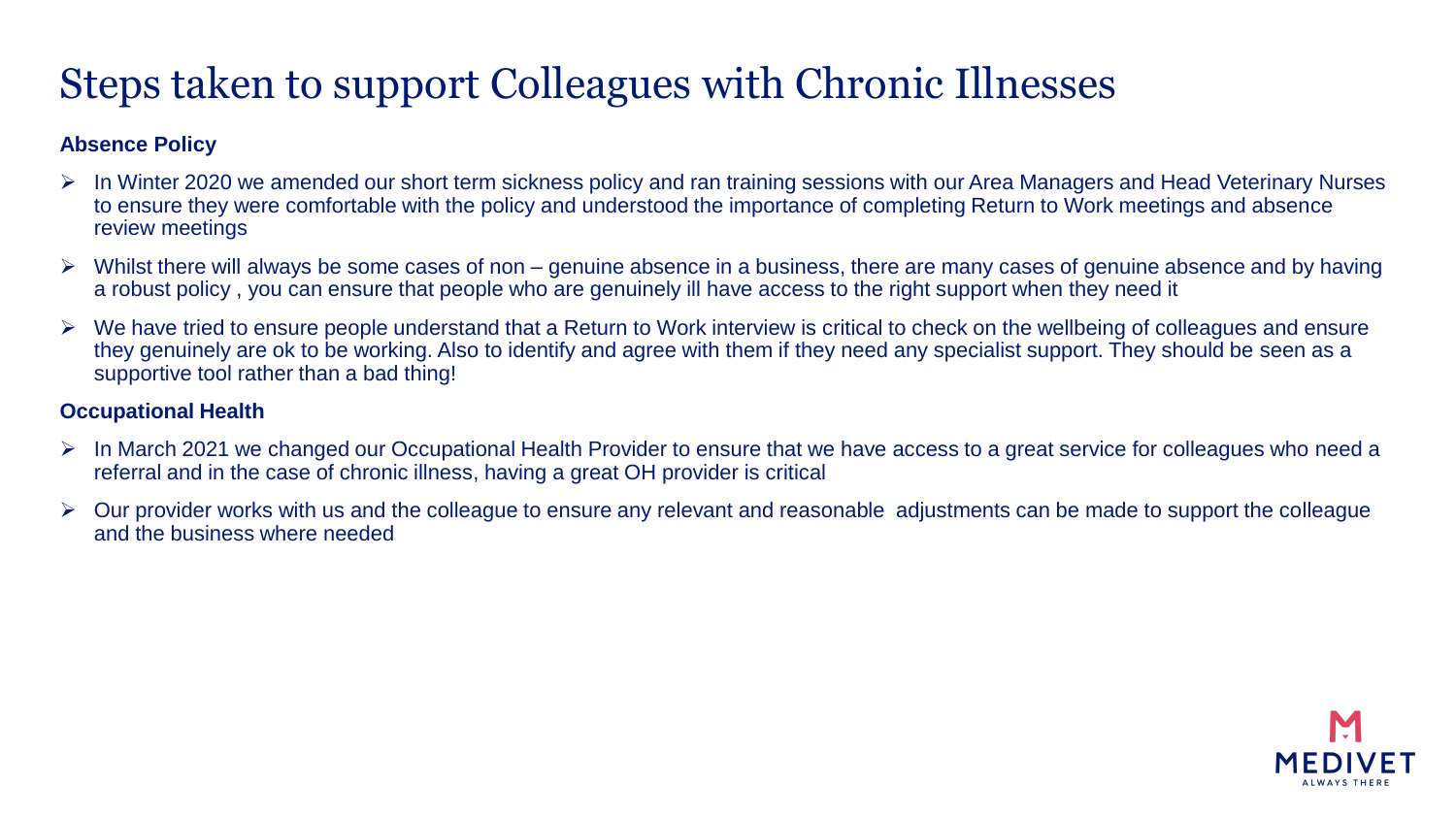### Steps taken to support Colleagues with Chronic Illnesses

### **Absence Policy**

- ➢ In Winter 2020 we amended our short term sickness policy and ran training sessions with our Area Managers and Head Veterinary Nurses to ensure they were comfortable with the policy and understood the importance of completing Return to Work meetings and absence review meetings
- $\triangleright$  Whilst there will always be some cases of non genuine absence in a business, there are many cases of genuine absence and by having a robust policy , you can ensure that people who are genuinely ill have access to the right support when they need it
- ➢ We have tried to ensure people understand that a Return to Work interview is critical to check on the wellbeing of colleagues and ensure they genuinely are ok to be working. Also to identify and agree with them if they need any specialist support. They should be seen as a supportive tool rather than a bad thing!

#### **Occupational Health**

- ➢ In March 2021 we changed our Occupational Health Provider to ensure that we have access to a great service for colleagues who need a referral and in the case of chronic illness, having a great OH provider is critical
- ➢ Our provider works with us and the colleague to ensure any relevant and reasonable adjustments can be made to support the colleague and the business where needed